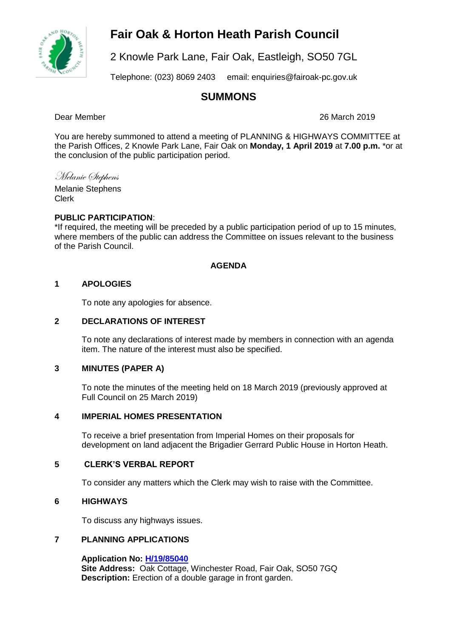# **Fair Oak & Horton Heath Parish Council**



2 Knowle Park Lane, Fair Oak, Eastleigh, SO50 7GL

Telephone: (023) 8069 2403 email: enquiries@fairoak-pc.gov.uk

# **SUMMONS**

Dear Member 26 March 2019

You are hereby summoned to attend a meeting of PLANNING & HIGHWAYS COMMITTEE at the Parish Offices, 2 Knowle Park Lane, Fair Oak on **Monday, 1 April 2019** at **7.00 p.m.** \*or at the conclusion of the public participation period.

Melanie Stephens

Melanie Stephens Clerk

# **PUBLIC PARTICIPATION**:

\*If required, the meeting will be preceded by a public participation period of up to 15 minutes, where members of the public can address the Committee on issues relevant to the business of the Parish Council.

# **AGENDA**

# **1 APOLOGIES**

To note any apologies for absence.

### **2 DECLARATIONS OF INTEREST**

To note any declarations of interest made by members in connection with an agenda item. The nature of the interest must also be specified.

#### **3 MINUTES (PAPER A)**

To note the minutes of the meeting held on 18 March 2019 (previously approved at Full Council on 25 March 2019)

#### **4 IMPERIAL HOMES PRESENTATION**

To receive a brief presentation from Imperial Homes on their proposals for development on land adjacent the Brigadier Gerrard Public House in Horton Heath.

#### **5 CLERK'S VERBAL REPORT**

To consider any matters which the Clerk may wish to raise with the Committee.

# **6 HIGHWAYS**

To discuss any highways issues.

# **7 PLANNING APPLICATIONS**

**Application No: [H/19/85040](mailto:https://planning.eastleigh.gov.uk/s/public-register) Site Address:** Oak Cottage, Winchester Road, Fair Oak, SO50 7GQ **Description:** Erection of a double garage in front garden.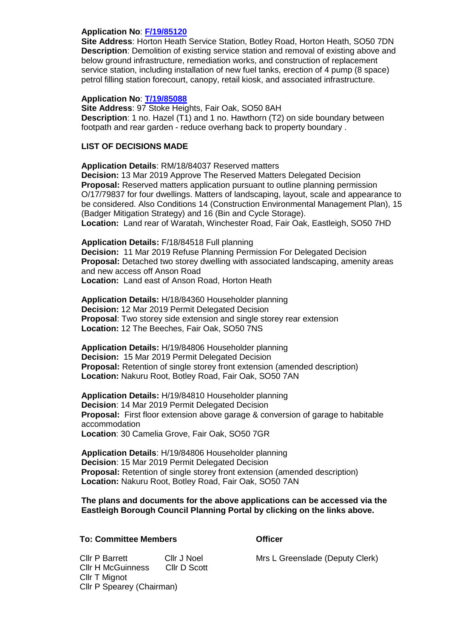#### **Application No**: **[F/19/85120](https://planning.eastleigh.gov.uk/s/papplication/a1M1v0000064hCm)**

**Site Address**: Horton Heath Service Station, Botley Road, Horton Heath, SO50 7DN **Description**: Demolition of existing service station and removal of existing above and below ground infrastructure, remediation works, and construction of replacement service station, including installation of new fuel tanks, erection of 4 pump (8 space) petrol filling station forecourt, canopy, retail kiosk, and associated infrastructure.

#### **Application No**: **[T/19/85088](https://planning.eastleigh.gov.uk/s/papplication/a1M1v0000064h1X)**

**Site Address**: 97 Stoke Heights, Fair Oak, SO50 8AH **Description**: 1 no. Hazel (T1) and 1 no. Hawthorn (T2) on side boundary between footpath and rear garden - reduce overhang back to property boundary .

#### **LIST OF DECISIONS MADE**

**Application Details**: RM/18/84037 Reserved matters **Decision:** 13 Mar 2019 Approve The Reserved Matters Delegated Decision **Proposal:** Reserved matters application pursuant to outline planning permission O/17/79837 for four dwellings. Matters of landscaping, layout, scale and appearance to be considered. Also Conditions 14 (Construction Environmental Management Plan), 15 (Badger Mitigation Strategy) and 16 (Bin and Cycle Storage). **Location:** Land rear of Waratah, Winchester Road, Fair Oak, Eastleigh, SO50 7HD

**Application Details:** F/18/84518 Full planning **Decision:** 11 Mar 2019 Refuse Planning Permission For Delegated Decision **Proposal:** Detached two storey dwelling with associated landscaping, amenity areas and new access off Anson Road **Location:** Land east of Anson Road, Horton Heath

**Application Details:** H/18/84360 Householder planning **Decision:** 12 Mar 2019 Permit Delegated Decision **Proposal**: Two storey side extension and single storey rear extension **Location:** 12 The Beeches, Fair Oak, SO50 7NS

**Application Details:** H/19/84806 Householder planning **Decision:** 15 Mar 2019 Permit Delegated Decision **Proposal:** Retention of single storey front extension (amended description) **Location:** Nakuru Root, Botley Road, Fair Oak, SO50 7AN

**Application Details:** H/19/84810 Householder planning **Decision**: 14 Mar 2019 Permit Delegated Decision **Proposal:** First floor extension above garage & conversion of garage to habitable accommodation **Location**: 30 Camelia Grove, Fair Oak, SO50 7GR

**Application Details**: H/19/84806 Householder planning **Decision**: 15 Mar 2019 Permit Delegated Decision **Proposal:** Retention of single storey front extension (amended description) **Location:** Nakuru Root, Botley Road, Fair Oak, SO50 7AN

**The plans and documents for the above applications can be accessed via the Eastleigh Borough Council Planning Portal by clicking on the links above.**

#### **To: Committee Members Committee Members**

Cllr P Barrett Cllr J Noel Cllr H McGuinness Cllr D Scott Cllr T Mignot Cllr P Spearey (Chairman)

Mrs L Greenslade (Deputy Clerk)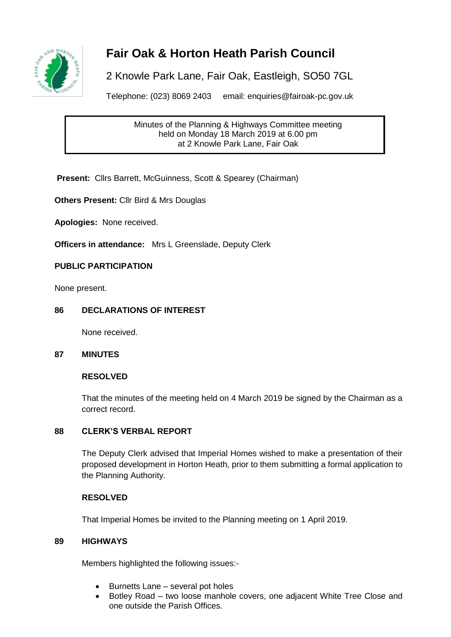

# **Fair Oak & Horton Heath Parish Council**

2 Knowle Park Lane, Fair Oak, Eastleigh, SO50 7GL

Telephone: (023) 8069 2403 email: enquiries@fairoak-pc.gov.uk

Minutes of the Planning & Highways Committee meeting held on Monday 18 March 2019 at 6.00 pm at 2 Knowle Park Lane, Fair Oak

**Present: Clirs Barrett, McGuinness, Scott & Spearey (Chairman)** 

**Others Present:** Cllr Bird & Mrs Douglas

**Apologies:** None received.

**Officers in attendance:** Mrs L Greenslade, Deputy Clerk

# **PUBLIC PARTICIPATION**

None present.

# **86 DECLARATIONS OF INTEREST**

None received.

#### **87 MINUTES**

### **RESOLVED**

That the minutes of the meeting held on 4 March 2019 be signed by the Chairman as a correct record.

#### **88 CLERK'S VERBAL REPORT**

The Deputy Clerk advised that Imperial Homes wished to make a presentation of their proposed development in Horton Heath, prior to them submitting a formal application to the Planning Authority.

#### **RESOLVED**

That Imperial Homes be invited to the Planning meeting on 1 April 2019.

#### **89 HIGHWAYS**

Members highlighted the following issues:-

- Burnetts Lane several pot holes
- Botley Road two loose manhole covers, one adjacent White Tree Close and one outside the Parish Offices.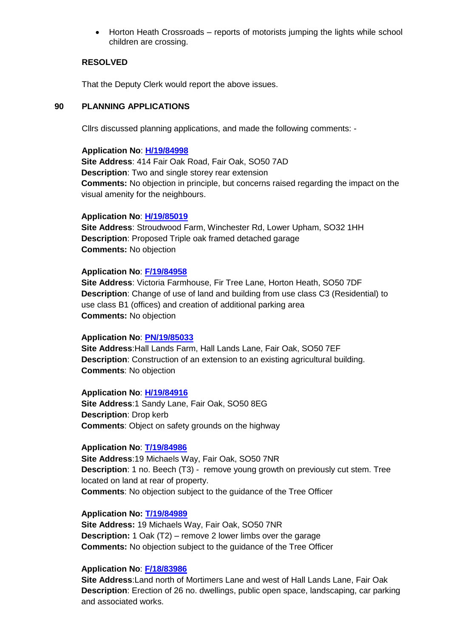• Horton Heath Crossroads – reports of motorists jumping the lights while school children are crossing.

#### **RESOLVED**

That the Deputy Clerk would report the above issues.

#### **90 PLANNING APPLICATIONS**

Cllrs discussed planning applications, and made the following comments: -

#### **Application No**: **[H/19/84998](https://planning.eastleigh.gov.uk/s/papplication/a1M1v0000064aFS)**

**Site Address**: 414 Fair Oak Road, Fair Oak, SO50 7AD **Description**: Two and single storey rear extension **Comments:** No objection in principle, but concerns raised regarding the impact on the visual amenity for the neighbours.

#### **Application No**: **[H/19/85019](https://planning.eastleigh.gov.uk/s/papplication/a1M1v0000064fVo)**

**Site Address**: Stroudwood Farm, Winchester Rd, Lower Upham, SO32 1HH **Description**: Proposed Triple oak framed detached garage **Comments:** No objection

#### **Application No**: **[F/19/84958](https://planning.eastleigh.gov.uk/s/papplication/a1M1v000005rhVX)**

**Site Address**: Victoria Farmhouse, Fir Tree Lane, Horton Heath, SO50 7DF **Description**: Change of use of land and building from use class C3 (Residential) to use class B1 (offices) and creation of additional parking area **Comments:** No objection

#### **Application No**: **[PN/19/85033](https://planning.eastleigh.gov.uk/s/papplication/a1M1v0000064fsc)**

**Site Address**:Hall Lands Farm, Hall Lands Lane, Fair Oak, SO50 7EF **Description**: Construction of an extension to an existing agricultural building. **Comments**: No objection

#### **Application No**: **[H/19/84916](https://planning.eastleigh.gov.uk/s/papplication/a1M1v000005rglk)**

**Site Address**:1 Sandy Lane, Fair Oak, SO50 8EG **Description**: Drop kerb **Comments**: Object on safety grounds on the highway

#### **Application No**: **[T/19/84986](https://planning.eastleigh.gov.uk/s/papplication/a1M1v0000064Zh7)**

**Site Address**:19 Michaels Way, Fair Oak, SO50 7NR **Description**: 1 no. Beech (T3) - remove young growth on previously cut stem. Tree located on land at rear of property. **Comments**: No objection subject to the guidance of the Tree Officer

#### **Application No: [T/19/84989](https://planning.eastleigh.gov.uk/s/papplication/a1M1v0000064Zln)**

**Site Address:** 19 Michaels Way, Fair Oak, SO50 7NR **Description:** 1 Oak (T2) – remove 2 lower limbs over the garage **Comments:** No objection subject to the guidance of the Tree Officer

#### **Application No**: **[F/18/83986](https://planning.eastleigh.gov.uk/s/papplication/a1M1v00000416ax)**

**Site Address**:Land north of Mortimers Lane and west of Hall Lands Lane, Fair Oak **Description**: Erection of 26 no. dwellings, public open space, landscaping, car parking and associated works.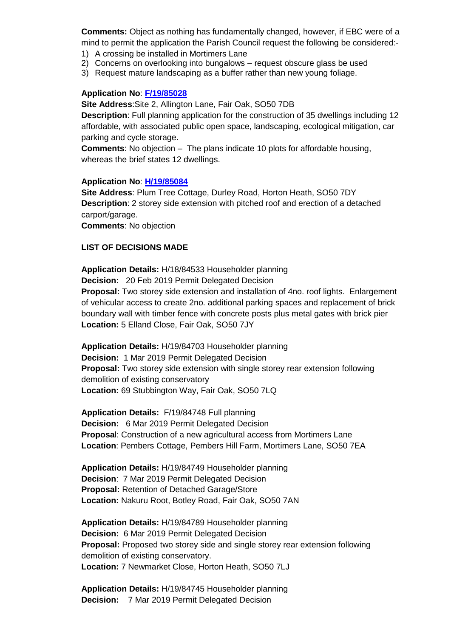**Comments:** Object as nothing has fundamentally changed, however, if EBC were of a mind to permit the application the Parish Council request the following be considered:-

- 1) A crossing be installed in Mortimers Lane
- 2) Concerns on overlooking into bungalows request obscure glass be used
- 3) Request mature landscaping as a buffer rather than new young foliage.

### **Application No**: **[F/19/85028](https://planning.eastleigh.gov.uk/s/papplication/a1M1v0000064fYO)**

**Site Address**:Site 2, Allington Lane, Fair Oak, SO50 7DB

**Description**: Full planning application for the construction of 35 dwellings including 12 affordable, with associated public open space, landscaping, ecological mitigation, car parking and cycle storage.

**Comments**: No objection – The plans indicate 10 plots for affordable housing, whereas the brief states 12 dwellings.

#### **Application No**: **[H/19/85084](https://planning.eastleigh.gov.uk/s/papplication/a1M1v0000064grk)**

**Site Address**: Plum Tree Cottage, Durley Road, Horton Heath, SO50 7DY **Description**: 2 storey side extension with pitched roof and erection of a detached carport/garage.

**Comments**: No objection

# **LIST OF DECISIONS MADE**

**Application Details:** H/18/84533 Householder planning **Decision:** 20 Feb 2019 Permit Delegated Decision **Proposal:** Two storey side extension and installation of 4no. roof lights. Enlargement of vehicular access to create 2no. additional parking spaces and replacement of brick boundary wall with timber fence with concrete posts plus metal gates with brick pier **Location:** 5 Elland Close, Fair Oak, SO50 7JY

**Application Details:** H/19/84703 Householder planning **Decision:** 1 Mar 2019 Permit Delegated Decision **Proposal:** Two storey side extension with single storey rear extension following demolition of existing conservatory **Location:** 69 Stubbington Way, Fair Oak, SO50 7LQ

**Application Details:** F/19/84748 Full planning **Decision:** 6 Mar 2019 Permit Delegated Decision **Proposa**l: Construction of a new agricultural access from Mortimers Lane **Location**: Pembers Cottage, Pembers Hill Farm, Mortimers Lane, SO50 7EA

**Application Details:** H/19/84749 Householder planning **Decision**: 7 Mar 2019 Permit Delegated Decision **Proposal:** Retention of Detached Garage/Store **Location:** Nakuru Root, Botley Road, Fair Oak, SO50 7AN

**Application Details:** H/19/84789 Householder planning **Decision:** 6 Mar 2019 Permit Delegated Decision **Proposal:** Proposed two storey side and single storey rear extension following demolition of existing conservatory. **Location:** 7 Newmarket Close, Horton Heath, SO50 7LJ

**Application Details:** H/19/84745 Householder planning **Decision:** 7 Mar 2019 Permit Delegated Decision